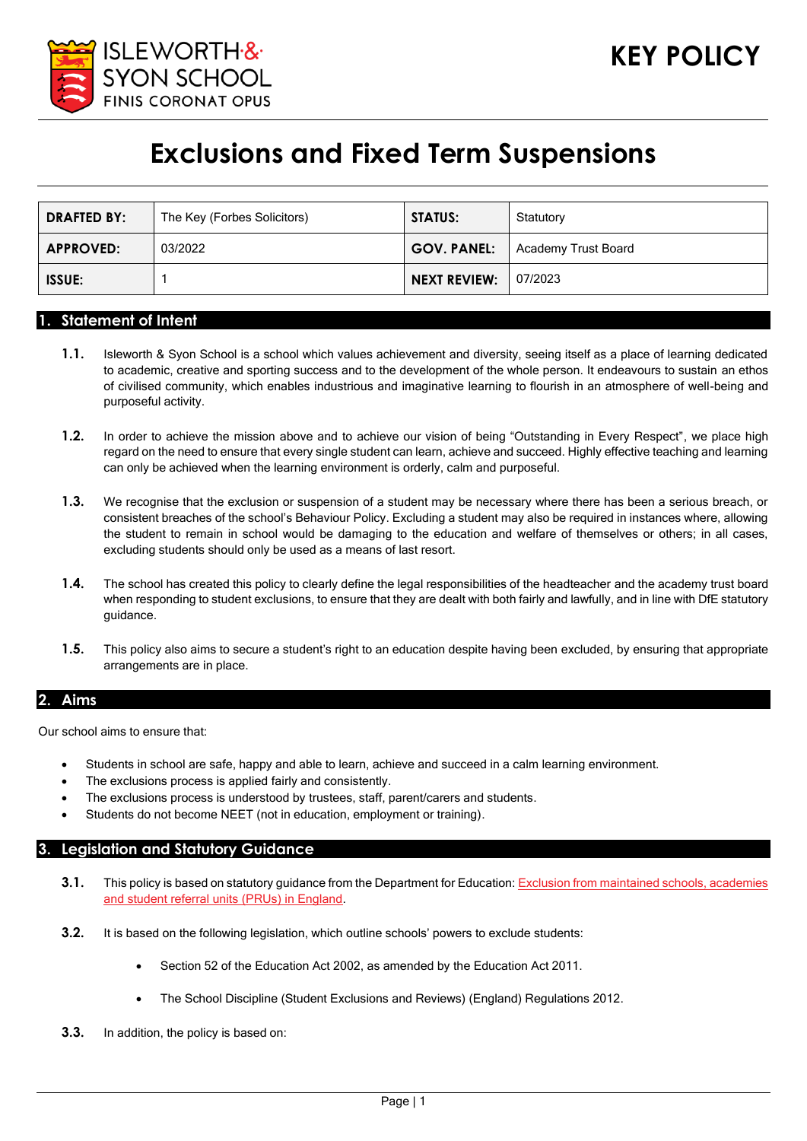

# **Exclusions and Fixed Term Suspensions**

| <b>DRAFTED BY:</b> | The Key (Forbes Solicitors) | <b>STATUS:</b>      | Statutory           |
|--------------------|-----------------------------|---------------------|---------------------|
| <b>APPROVED:</b>   | 03/2022                     | <b>GOV. PANEL:</b>  | Academy Trust Board |
| <b>ISSUE:</b>      |                             | <b>NEXT REVIEW:</b> | 07/2023             |

#### **1. Statement of Intent**

- **1.1.** Isleworth & Syon School is a school which values achievement and diversity, seeing itself as a place of learning dedicated to academic, creative and sporting success and to the development of the whole person. It endeavours to sustain an ethos of civilised community, which enables industrious and imaginative learning to flourish in an atmosphere of well-being and purposeful activity.
- **1.2.** In order to achieve the mission above and to achieve our vision of being "Outstanding in Every Respect", we place high regard on the need to ensure that every single student can learn, achieve and succeed. Highly effective teaching and learning can only be achieved when the learning environment is orderly, calm and purposeful.
- **1.3.** We recognise that the exclusion or suspension of a student may be necessary where there has been a serious breach, or consistent breaches of the school's Behaviour Policy. Excluding a student may also be required in instances where, allowing the student to remain in school would be damaging to the education and welfare of themselves or others; in all cases, excluding students should only be used as a means of last resort.
- **1.4.** The school has created this policy to clearly define the legal responsibilities of the headteacher and the academy trust board when responding to student exclusions, to ensure that they are dealt with both fairly and lawfully, and in line with DfE statutory guidance.
- **1.5.** This policy also aims to secure a student's right to an education despite having been excluded, by ensuring that appropriate arrangements are in place.

#### **2. Aims**

Our school aims to ensure that:

- Students in school are safe, happy and able to learn, achieve and succeed in a calm learning environment.
- The exclusions process is applied fairly and consistently.
- The exclusions process is understood by trustees, staff, parent/carers and students.
- Students do not become NEET (not in education, employment or training).

#### **3. Legislation and Statutory Guidance**

- **3.1.** This policy is based on statutory guidance from the Department for Education[: Exclusion from maintained schools, academies](https://www.gov.uk/government/publications/school-exclusion)  [and student referral units \(PRUs\) in England.](https://www.gov.uk/government/publications/school-exclusion)
- **3.2.** It is based on the following legislation, which outline schools' powers to exclude students:
	- Section 52 of the [Education Act 2002,](http://www.legislation.gov.uk/ukpga/2002/32/section/52) as amended by th[e Education Act 2011.](http://www.legislation.gov.uk/ukpga/2011/21/contents/enacted)
	- [The School Discipline \(Student Exclusions and Reviews\) \(England\) Regulations 2012.](http://www.legislation.gov.uk/uksi/2012/1033/made)
- **3.3.** In addition, the policy is based on: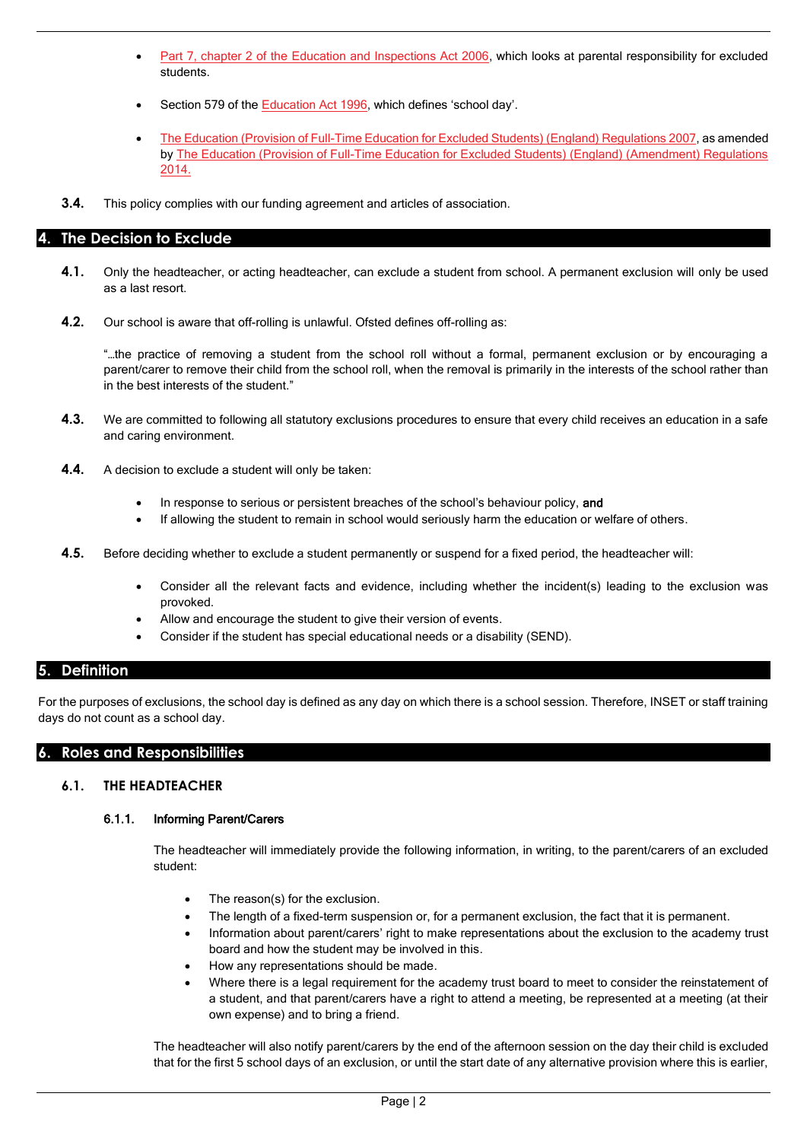- Part 7, chapter 2 of the [Education and Inspections Act 2006,](http://www.legislation.gov.uk/ukpga/2006/40/part/7/chapter/2) which looks at parental responsibility for excluded students.
- Section 579 of the [Education Act 1996](http://www.legislation.gov.uk/ukpga/1996/56/section/579), which defines 'school day'.
- The [Education \(Provision of Full-Time Education for Excluded Students\) \(England\) Regulations 2007,](http://www.legislation.gov.uk/uksi/2007/1870/contents/made) as amended by [The Education \(Provision of Full-Time Education for Excluded Students\) \(England\) \(Amendment\) Regulations](http://www.legislation.gov.uk/uksi/2014/3216/contents/made)  [2014.](http://www.legislation.gov.uk/uksi/2014/3216/contents/made)
- **3.4.** This policy complies with our funding agreement and articles of association.

#### **4. The Decision to Exclude**

- **4.1.** Only the headteacher, or acting headteacher, can exclude a student from school. A permanent exclusion will only be used as a last resort.
- **4.2.** Our school is aware that off-rolling is unlawful. Ofsted defines off-rolling as:

"…the practice of removing a student from the school roll without a formal, permanent exclusion or by encouraging a parent/carer to remove their child from the school roll, when the removal is primarily in the interests of the school rather than in the best interests of the student."

- **4.3.** We are committed to following all statutory exclusions procedures to ensure that every child receives an education in a safe and caring environment.
- **4.4.** A decision to exclude a student will only be taken:
	- In response to serious or persistent breaches of the school's behaviour policy, and
	- If allowing the student to remain in school would seriously harm the education or welfare of others.
- **4.5.** Before deciding whether to exclude a student permanently or suspend for a fixed period, the headteacher will:
	- Consider all the relevant facts and evidence, including whether the incident(s) leading to the exclusion was provoked.
	- Allow and encourage the student to give their version of events.
	- Consider if the student has special educational needs or a disability (SEND).

# **5. Definition**

For the purposes of exclusions, the school day is defined as any day on which there is a school session. Therefore, INSET or staff training days do not count as a school day.

# **6. Roles and Responsibilities**

#### **6.1. THE HEADTEACHER**

#### 6.1.1. Informing Parent/Carers

The headteacher will immediately provide the following information, in writing, to the parent/carers of an excluded student:

- The reason(s) for the exclusion.
- The length of a fixed-term suspension or, for a permanent exclusion, the fact that it is permanent.
- Information about parent/carers' right to make representations about the exclusion to the academy trust board and how the student may be involved in this.
- How any representations should be made.
- Where there is a legal requirement for the academy trust board to meet to consider the reinstatement of a student, and that parent/carers have a right to attend a meeting, be represented at a meeting (at their own expense) and to bring a friend.

The headteacher will also notify parent/carers by the end of the afternoon session on the day their child is excluded that for the first 5 school days of an exclusion, or until the start date of any alternative provision where this is earlier,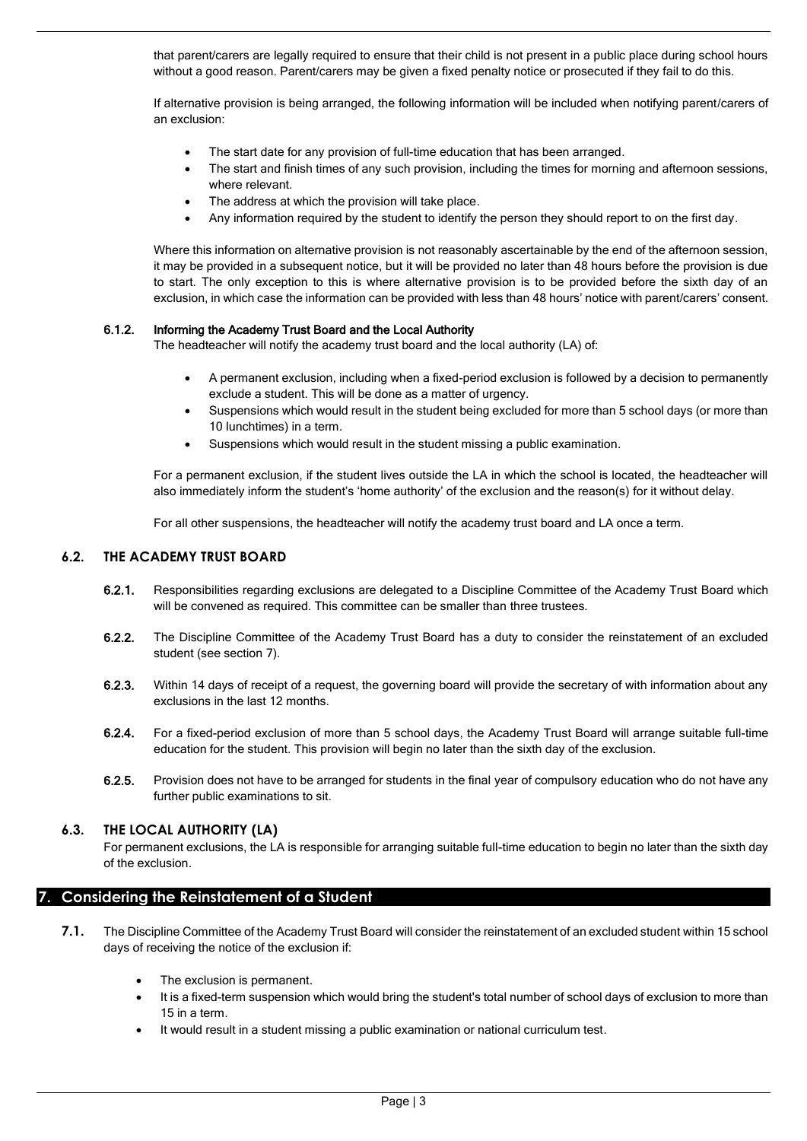that parent/carers are legally required to ensure that their child is not present in a public place during school hours without a good reason. Parent/carers may be given a fixed penalty notice or prosecuted if they fail to do this.

If alternative provision is being arranged, the following information will be included when notifying parent/carers of an exclusion:

- The start date for any provision of full-time education that has been arranged.
- The start and finish times of any such provision, including the times for morning and afternoon sessions, where relevant.
- The address at which the provision will take place.
- Any information required by the student to identify the person they should report to on the first day.

Where this information on alternative provision is not reasonably ascertainable by the end of the afternoon session, it may be provided in a subsequent notice, but it will be provided no later than 48 hours before the provision is due to start. The only exception to this is where alternative provision is to be provided before the sixth day of an exclusion, in which case the information can be provided with less than 48 hours' notice with parent/carers' consent.

#### 6.1.2. Informing the Academy Trust Board and the Local Authority

The headteacher will notify the academy trust board and the local authority (LA) of:

- A permanent exclusion, including when a fixed-period exclusion is followed by a decision to permanently exclude a student. This will be done as a matter of urgency.
- Suspensions which would result in the student being excluded for more than 5 school days (or more than 10 lunchtimes) in a term.
- Suspensions which would result in the student missing a public examination.

For a permanent exclusion, if the student lives outside the LA in which the school is located, the headteacher will also immediately inform the student's 'home authority' of the exclusion and the reason(s) for it without delay.

For all other suspensions, the headteacher will notify the academy trust board and LA once a term.

#### **6.2. THE ACADEMY TRUST BOARD**

- 6.2.1. Responsibilities regarding exclusions are delegated to a Discipline Committee of the Academy Trust Board which will be convened as required. This committee can be smaller than three trustees.
- 6.2.2. The Discipline Committee of the Academy Trust Board has a duty to consider the reinstatement of an excluded student (see section 7).
- 6.2.3. Within 14 days of receipt of a request, the governing board will provide the secretary of with information about any exclusions in the last 12 months.
- 6.2.4. For a fixed-period exclusion of more than 5 school days, the Academy Trust Board will arrange suitable full-time education for the student. This provision will begin no later than the sixth day of the exclusion.
- 6.2.5. Provision does not have to be arranged for students in the final year of compulsory education who do not have any further public examinations to sit.

#### **6.3. THE LOCAL AUTHORITY (LA)**

For permanent exclusions, the LA is responsible for arranging suitable full-time education to begin no later than the sixth day of the exclusion.

# **7. Considering the Reinstatement of a Student**

- **7.1.** The Discipline Committee of the Academy Trust Board will consider the reinstatement of an excluded student within 15 school days of receiving the notice of the exclusion if:
	- The exclusion is permanent.
	- It is a fixed-term suspension which would bring the student's total number of school days of exclusion to more than 15 in a term.
	- It would result in a student missing a public examination or national curriculum test.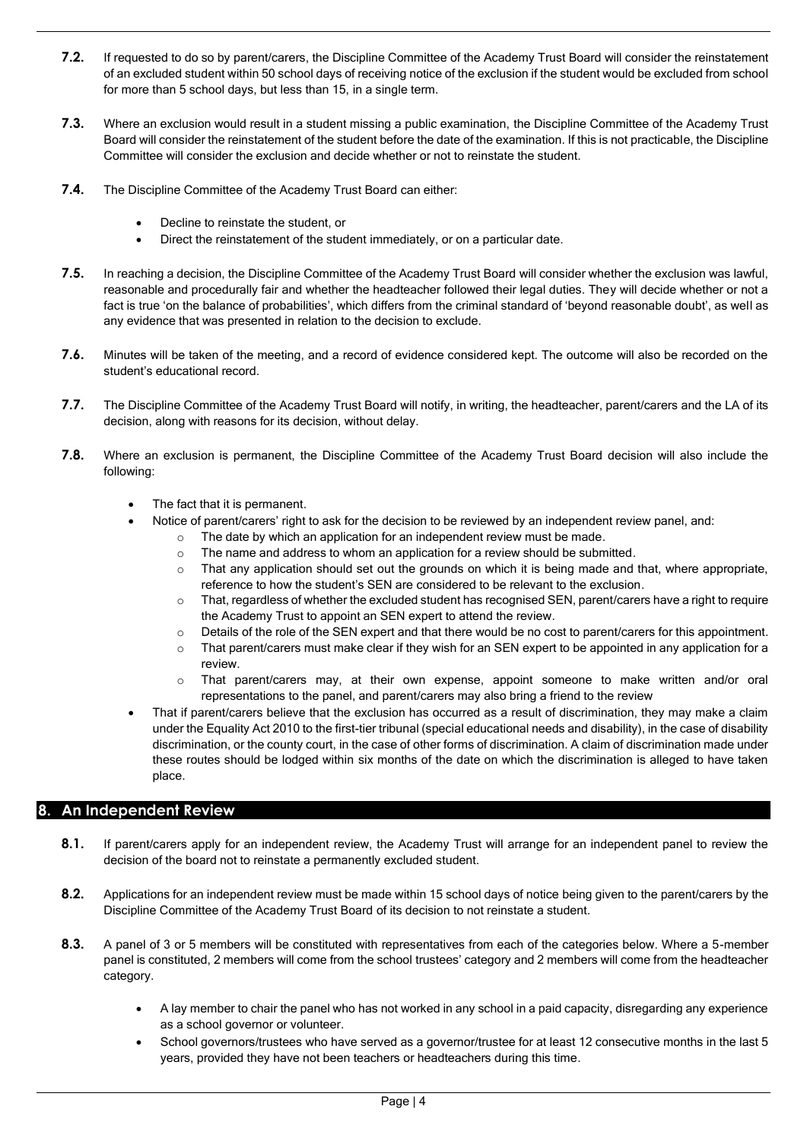- **7.2.** If requested to do so by parent/carers, the Discipline Committee of the Academy Trust Board will consider the reinstatement of an excluded student within 50 school days of receiving notice of the exclusion if the student would be excluded from school for more than 5 school days, but less than 15, in a single term.
- **7.3.** Where an exclusion would result in a student missing a public examination, the Discipline Committee of the Academy Trust Board will consider the reinstatement of the student before the date of the examination. If this is not practicable, the Discipline Committee will consider the exclusion and decide whether or not to reinstate the student.
- **7.4.** The Discipline Committee of the Academy Trust Board can either:
	- Decline to reinstate the student, or
	- Direct the reinstatement of the student immediately, or on a particular date.
- **7.5.** In reaching a decision, the Discipline Committee of the Academy Trust Board will consider whether the exclusion was lawful, reasonable and procedurally fair and whether the headteacher followed their legal duties. They will decide whether or not a fact is true 'on the balance of probabilities', which differs from the criminal standard of 'beyond reasonable doubt', as well as any evidence that was presented in relation to the decision to exclude.
- **7.6.** Minutes will be taken of the meeting, and a record of evidence considered kept. The outcome will also be recorded on the student's educational record.
- **7.7.** The Discipline Committee of the Academy Trust Board will notify, in writing, the headteacher, parent/carers and the LA of its decision, along with reasons for its decision, without delay.
- **7.8.** Where an exclusion is permanent, the Discipline Committee of the Academy Trust Board decision will also include the following:
	- The fact that it is permanent.
	- Notice of parent/carers' right to ask for the decision to be reviewed by an independent review panel, and:
		- o The date by which an application for an independent review must be made.
		- o The name and address to whom an application for a review should be submitted.
		- $\circ$  That any application should set out the grounds on which it is being made and that, where appropriate, reference to how the student's SEN are considered to be relevant to the exclusion.
		- o That, regardless of whether the excluded student has recognised SEN, parent/carers have a right to require the Academy Trust to appoint an SEN expert to attend the review.
		- $\circ$  Details of the role of the SEN expert and that there would be no cost to parent/carers for this appointment.
		- $\circ$  That parent/carers must make clear if they wish for an SEN expert to be appointed in any application for a review.
		- $\circ$  That parent/carers may, at their own expense, appoint someone to make written and/or oral representations to the panel, and parent/carers may also bring a friend to the review
	- That if parent/carers believe that the exclusion has occurred as a result of discrimination, they may make a claim under the Equality Act 2010 to the first-tier tribunal (special educational needs and disability), in the case of disability discrimination, or the county court, in the case of other forms of discrimination. A claim of discrimination made under these routes should be lodged within six months of the date on which the discrimination is alleged to have taken place.

# **8. An Independent Review**

- **8.1.** If parent/carers apply for an independent review, the Academy Trust will arrange for an independent panel to review the decision of the board not to reinstate a permanently excluded student.
- **8.2.** Applications for an independent review must be made within 15 school days of notice being given to the parent/carers by the Discipline Committee of the Academy Trust Board of its decision to not reinstate a student.
- **8.3.** A panel of 3 or 5 members will be constituted with representatives from each of the categories below. Where a 5-member panel is constituted, 2 members will come from the school trustees' category and 2 members will come from the headteacher category.
	- A lay member to chair the panel who has not worked in any school in a paid capacity, disregarding any experience as a school governor or volunteer.
	- School governors/trustees who have served as a governor/trustee for at least 12 consecutive months in the last 5 years, provided they have not been teachers or headteachers during this time.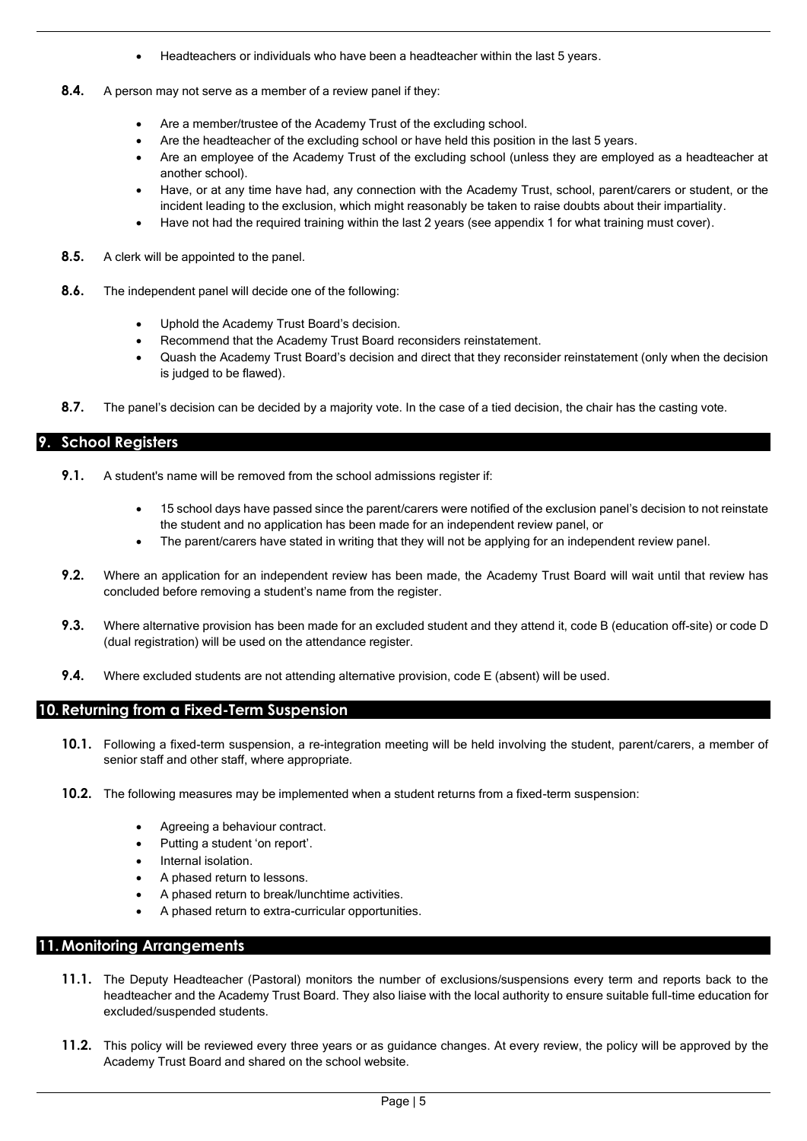- Headteachers or individuals who have been a headteacher within the last 5 years.
- **8.4.** A person may not serve as a member of a review panel if they:
	- Are a member/trustee of the Academy Trust of the excluding school.
	- Are the headteacher of the excluding school or have held this position in the last 5 years.
	- Are an employee of the Academy Trust of the excluding school (unless they are employed as a headteacher at another school).
	- Have, or at any time have had, any connection with the Academy Trust, school, parent/carers or student, or the incident leading to the exclusion, which might reasonably be taken to raise doubts about their impartiality.
	- Have not had the required training within the last 2 years (see appendix 1 for what training must cover).
- **8.5.** A clerk will be appointed to the panel.
- **8.6.** The independent panel will decide one of the following:
	- Uphold the Academy Trust Board's decision.
	- Recommend that the Academy Trust Board reconsiders reinstatement.
	- Quash the Academy Trust Board's decision and direct that they reconsider reinstatement (only when the decision is judged to be flawed).
- **8.7.** The panel's decision can be decided by a majority vote. In the case of a tied decision, the chair has the casting vote.

# **9. School Registers**

- **9.1.** A student's name will be removed from the school admissions register if:
	- 15 school days have passed since the parent/carers were notified of the exclusion panel's decision to not reinstate the student and no application has been made for an independent review panel, or
	- The parent/carers have stated in writing that they will not be applying for an independent review panel.
- **9.2.** Where an application for an independent review has been made, the Academy Trust Board will wait until that review has concluded before removing a student's name from the register.
- **9.3.** Where alternative provision has been made for an excluded student and they attend it, code B (education off-site) or code D (dual registration) will be used on the attendance register.
- **9.4.** Where excluded students are not attending alternative provision, code E (absent) will be used.

#### **10. Returning from a Fixed-Term Suspension**

- **10.1.** Following a fixed-term suspension, a re-integration meeting will be held involving the student, parent/carers, a member of senior staff and other staff, where appropriate.
- **10.2.** The following measures may be implemented when a student returns from a fixed-term suspension:
	- Agreeing a behaviour contract.
	- Putting a student 'on report'.
	- Internal isolation.
	- A phased return to lessons.
	- A phased return to break/lunchtime activities.
	- A phased return to extra-curricular opportunities.

#### **11.Monitoring Arrangements**

- **11.1.** The Deputy Headteacher (Pastoral) monitors the number of exclusions/suspensions every term and reports back to the headteacher and the Academy Trust Board. They also liaise with the local authority to ensure suitable full-time education for excluded/suspended students.
- **11.2.** This policy will be reviewed every three years or as guidance changes. At every review, the policy will be approved by the Academy Trust Board and shared on the school website.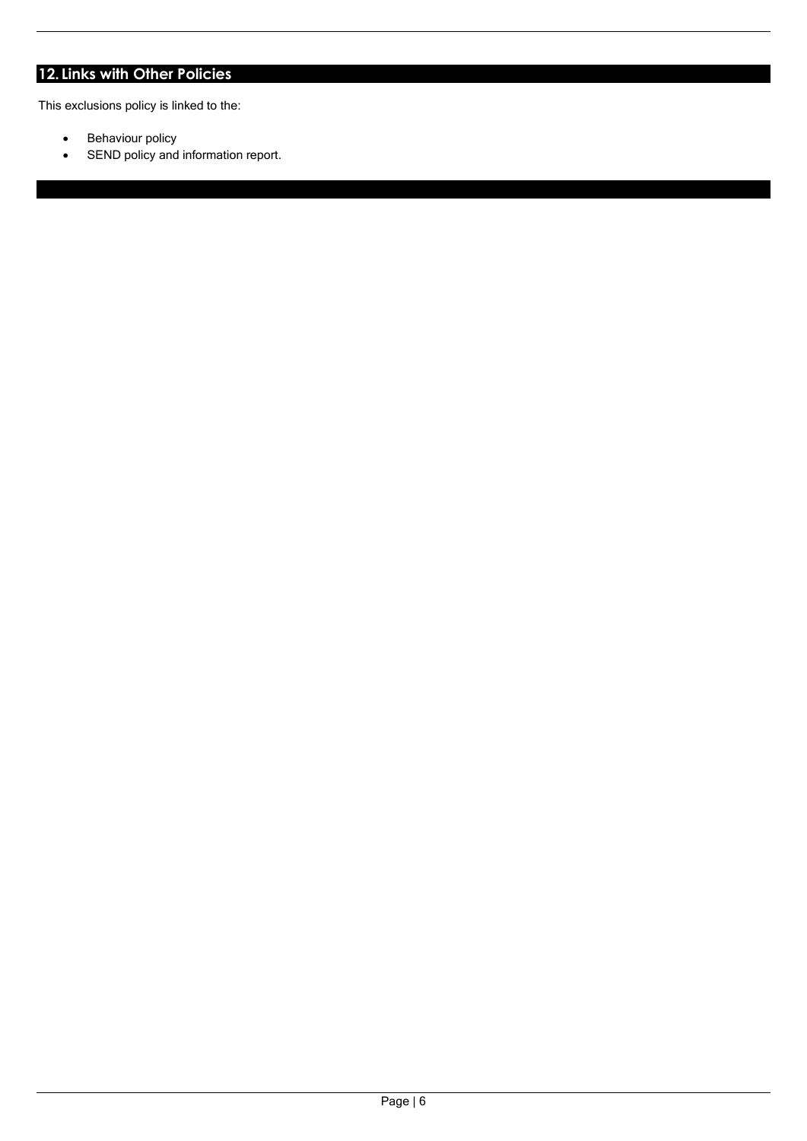# **12. Links with Other Policies**

This exclusions policy is linked to the:

- Behaviour policy
- SEND policy and information report.